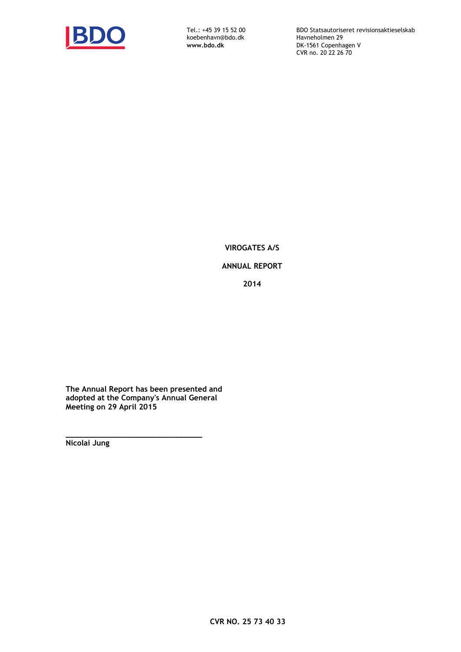

koebenhavn@bdo.dk<br>www.bdo.dk

Tel.: +45 39 15 52 00 BDO Statsautoriseret revisionsaktieselskab **DK-1561 Copenhagen V** CVR no. 20 22 26 70

**VIROGATES A/S**

# **ANNUAL REPORT Årsrapport**

**2014**

**The Annual Report has been presented and adopted at the Company's Annual General Meeting on 29 April 2015**

**\_\_\_\_\_\_\_\_\_\_\_\_\_\_\_\_\_\_\_\_\_\_\_\_\_\_\_\_\_\_ Nicolai Jung**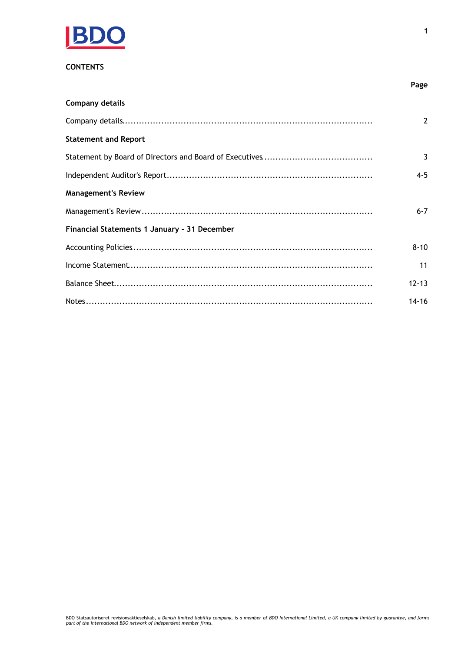

# **CONTENTS**

| <b>Company details</b>                       |                |
|----------------------------------------------|----------------|
|                                              | $\overline{2}$ |
| <b>Statement and Report</b>                  |                |
|                                              | 3              |
|                                              | $4 - 5$        |
| <b>Management's Review</b>                   |                |
|                                              | $6 - 7$        |
| Financial Statements 1 January - 31 December |                |
|                                              | $8 - 10$       |
|                                              | 11             |
|                                              | $12 - 13$      |
|                                              | $14 - 16$      |

Page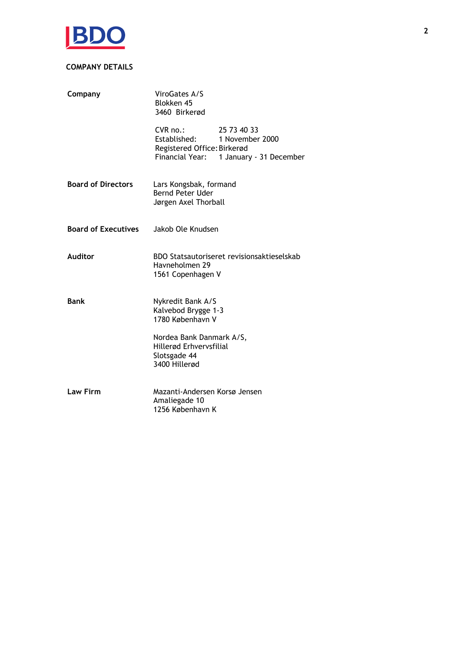

# **COMPANY DETAILS**

| Company                    | ViroGates A/S<br>Blokken 45<br>3460 Birkerød                                                                                              |  |  |  |
|----------------------------|-------------------------------------------------------------------------------------------------------------------------------------------|--|--|--|
|                            | 25 73 40 33<br>$CVR$ no.:<br>Established:<br>1 November 2000<br>Registered Office: Birkerød<br>Financial Year:<br>1 January - 31 December |  |  |  |
| <b>Board of Directors</b>  | Lars Kongsbak, formand<br>Bernd Peter Uder<br>Jørgen Axel Thorball                                                                        |  |  |  |
| <b>Board of Executives</b> | Jakob Ole Knudsen                                                                                                                         |  |  |  |
| <b>Auditor</b>             | BDO Statsautoriseret revisionsaktieselskab<br>Havneholmen 29<br>1561 Copenhagen V                                                         |  |  |  |
| <b>Bank</b>                | Nykredit Bank A/S<br>Kalvebod Brygge 1-3<br>1780 København V                                                                              |  |  |  |
|                            | Nordea Bank Danmark A/S,<br>Hillerød Erhvervsfilial<br>Slotsgade 44<br>3400 Hillerød                                                      |  |  |  |
| <b>Law Firm</b>            | Mazanti-Andersen Korsø Jensen<br>Amaliegade 10<br>1256 København K                                                                        |  |  |  |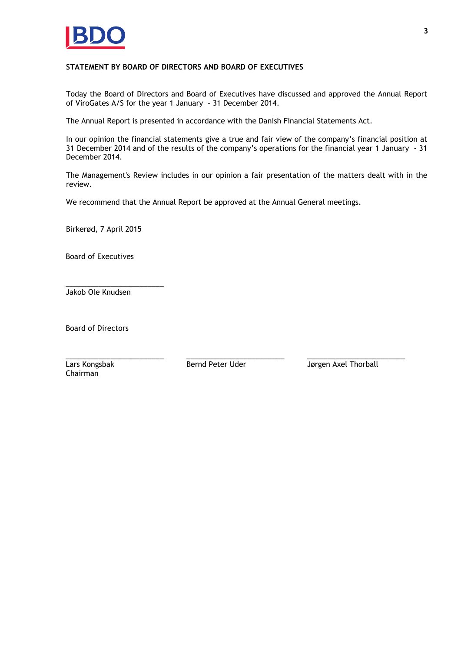

## **STATEMENT BY BOARD OF DIRECTORS AND BOARD OF EXECUTIVES**

Today the Board of Directors and Board of Executives have discussed and approved the Annual Report of ViroGates A/S for the year 1 January - 31 December 2014.

The Annual Report is presented in accordance with the Danish Financial Statements Act.

In our opinion the financial statements give a true and fair view of the company's financial position at 31 December 2014 and of the results of the company's operations for the financial year 1 January - 31 December 2014.

The Management's Review includes in our opinion a fair presentation of the matters dealt with in the review.

We recommend that the Annual Report be approved at the Annual General meetings.

Birkerød, 7 April 2015

Board of Executives

\_\_\_\_\_\_\_\_\_\_\_\_\_\_\_\_\_\_\_\_\_\_\_\_ Jakob Ole Knudsen

Board of Directors

\_\_\_\_\_\_\_\_\_\_\_\_\_\_\_\_\_\_\_\_\_\_\_\_ \_\_\_\_\_\_\_\_\_\_\_\_\_\_\_\_\_\_\_\_\_\_\_\_ \_\_\_\_\_\_\_\_\_\_\_\_\_\_\_\_\_\_\_\_\_\_\_\_ Lars Kongsbak Chairman

Bernd Peter Uder **Jørgen Axel Thorball**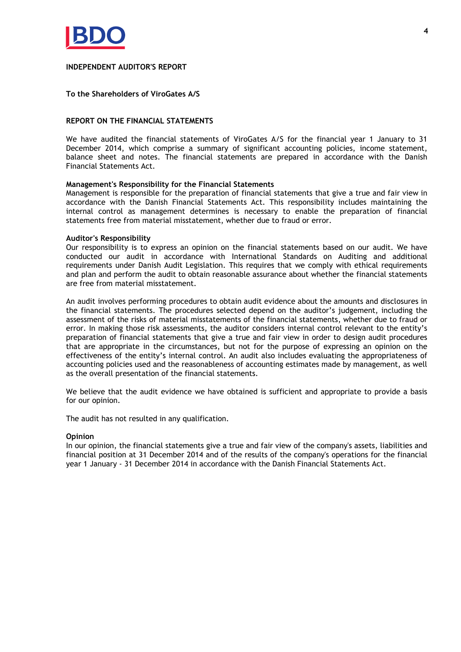

## **INDEPENDENT AUDITOR'S REPORT**

## **To the Shareholders of ViroGates A/S**

## **REPORT ON THE FINANCIAL STATEMENTS**

We have audited the financial statements of ViroGates A/S for the financial year 1 January to 31 December 2014, which comprise a summary of significant accounting policies, income statement, balance sheet and notes. The financial statements are prepared in accordance with the Danish Financial Statements Act.

## **Management's Responsibility for the Financial Statements**

Management is responsible for the preparation of financial statements that give a true and fair view in accordance with the Danish Financial Statements Act. This responsibility includes maintaining the internal control as management determines is necessary to enable the preparation of financial statements free from material misstatement, whether due to fraud or error.

## **Auditor's Responsibility**

Our responsibility is to express an opinion on the financial statements based on our audit. We have conducted our audit in accordance with International Standards on Auditing and additional requirements under Danish Audit Legislation. This requires that we comply with ethical requirements and plan and perform the audit to obtain reasonable assurance about whether the financial statements are free from material misstatement.

An audit involves performing procedures to obtain audit evidence about the amounts and disclosures in the financial statements. The procedures selected depend on the auditor's judgement, including the assessment of the risks of material misstatements of the financial statements, whether due to fraud or error. In making those risk assessments, the auditor considers internal control relevant to the entity's preparation of financial statements that give a true and fair view in order to design audit procedures that are appropriate in the circumstances, but not for the purpose of expressing an opinion on the effectiveness of the entity's internal control. An audit also includes evaluating the appropriateness of accounting policies used and the reasonableness of accounting estimates made by management, as well as the overall presentation of the financial statements.

We believe that the audit evidence we have obtained is sufficient and appropriate to provide a basis for our opinion.

The audit has not resulted in any qualification.

## **Opinion**

In our opinion, the financial statements give a true and fair view of the company's assets, liabilities and financial position at 31 December 2014 and of the results of the company's operations for the financial year 1 January - 31 December 2014 in accordance with the Danish Financial Statements Act.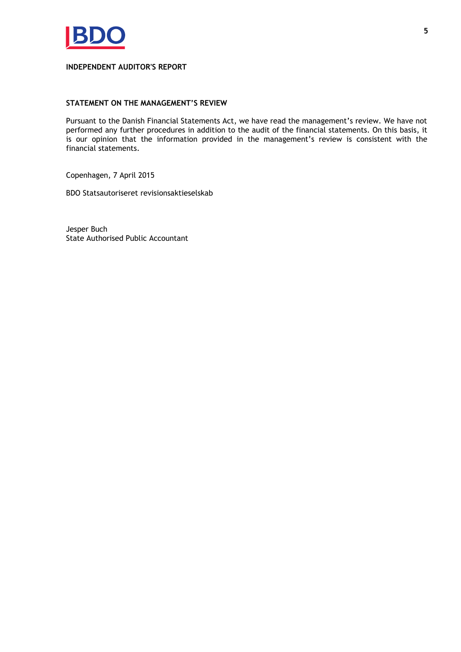

## **INDEPENDENT AUDITOR'S REPORT**

## **STATEMENT ON THE MANAGEMENT'S REVIEW**

Pursuant to the Danish Financial Statements Act, we have read the management's review. We have not performed any further procedures in addition to the audit of the financial statements. On this basis, it is our opinion that the information provided in the management's review is consistent with the financial statements.

Copenhagen, 7 April 2015

BDO Statsautoriseret revisionsaktieselskab

Jesper Buch State Authorised Public Accountant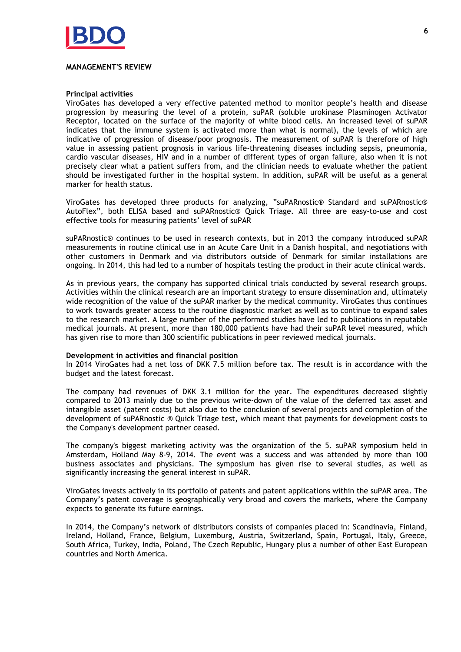

## **MANAGEMENT'S REVIEW**

## **Principal activities**

ViroGates has developed a very effective patented method to monitor people's health and disease progression by measuring the level of a protein, suPAR (soluble urokinase Plasminogen Activator Receptor, located on the surface of the majority of white blood cells. An increased level of suPAR indicates that the immune system is activated more than what is normal), the levels of which are indicative of progression of disease/poor prognosis. The measurement of suPAR is therefore of high value in assessing patient prognosis in various life-threatening diseases including sepsis, pneumonia, cardio vascular diseases, HIV and in a number of different types of organ failure, also when it is not precisely clear what a patient suffers from, and the clinician needs to evaluate whether the patient should be investigated further in the hospital system. In addition, suPAR will be useful as a general marker for health status.

ViroGates has developed three products for analyzing, "suPARnostic® Standard and suPARnostic® AutoFlex", both ELISA based and suPARnostic® Quick Triage. All three are easy-to-use and cost effective tools for measuring patients' level of suPAR

suPARnostic® continues to be used in research contexts, but in 2013 the company introduced suPAR measurements in routine clinical use in an Acute Care Unit in a Danish hospital, and negotiations with other customers in Denmark and via distributors outside of Denmark for similar installations are ongoing. In 2014, this had led to a number of hospitals testing the product in their acute clinical wards.

As in previous years, the company has supported clinical trials conducted by several research groups. Activities within the clinical research are an important strategy to ensure dissemination and, ultimately wide recognition of the value of the suPAR marker by the medical community. ViroGates thus continues to work towards greater access to the routine diagnostic market as well as to continue to expand sales to the research market. A large number of the performed studies have led to publications in reputable medical journals. At present, more than 180,000 patients have had their suPAR level measured, which has given rise to more than 300 scientific publications in peer reviewed medical journals.

## **Development in activities and financial position**

In 2014 ViroGates had a net loss of DKK 7.5 million before tax. The result is in accordance with the budget and the latest forecast.

The company had revenues of DKK 3.1 million for the year. The expenditures decreased slightly compared to 2013 mainly due to the previous write-down of the value of the deferred tax asset and intangible asset (patent costs) but also due to the conclusion of several projects and completion of the development of suPARnostic ® Quick Triage test, which meant that payments for development costs to the Company's development partner ceased.

The company's biggest marketing activity was the organization of the 5. suPAR symposium held in Amsterdam, Holland May 8-9, 2014. The event was a success and was attended by more than 100 business associates and physicians. The symposium has given rise to several studies, as well as significantly increasing the general interest in suPAR.

ViroGates invests actively in its portfolio of patents and patent applications within the suPAR area. The Company's patent coverage is geographically very broad and covers the markets, where the Company expects to generate its future earnings.

In 2014, the Company's network of distributors consists of companies placed in: Scandinavia, Finland, Ireland, Holland, France, Belgium, Luxemburg, Austria, Switzerland, Spain, Portugal, Italy, Greece, South Africa, Turkey, India, Poland, The Czech Republic, Hungary plus a number of other East European countries and North America.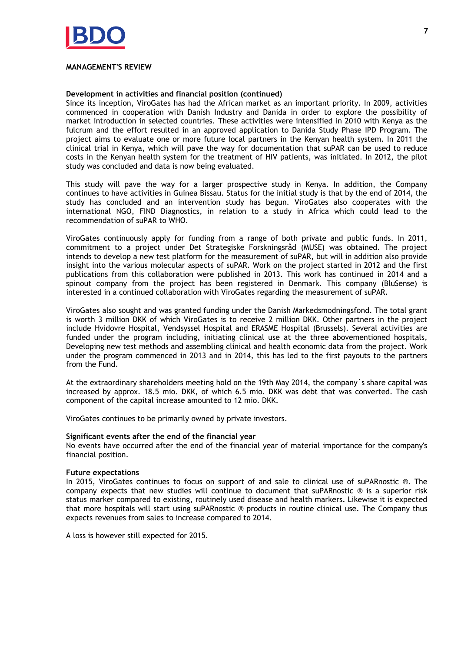

## **MANAGEMENT'S REVIEW**

## **Development in activities and financial position (continued)**

Since its inception, ViroGates has had the African market as an important priority. In 2009, activities commenced in cooperation with Danish Industry and Danida in order to explore the possibility of market introduction in selected countries. These activities were intensified in 2010 with Kenya as the fulcrum and the effort resulted in an approved application to Danida Study Phase IPD Program. The project aims to evaluate one or more future local partners in the Kenyan health system. In 2011 the clinical trial in Kenya, which will pave the way for documentation that suPAR can be used to reduce costs in the Kenyan health system for the treatment of HIV patients, was initiated. In 2012, the pilot study was concluded and data is now being evaluated.

This study will pave the way for a larger prospective study in Kenya. In addition, the Company continues to have activities in Guinea Bissau. Status for the initial study is that by the end of 2014, the study has concluded and an intervention study has begun. ViroGates also cooperates with the international NGO, FIND Diagnostics, in relation to a study in Africa which could lead to the recommendation of suPAR to WHO.

ViroGates continuously apply for funding from a range of both private and public funds. In 2011, commitment to a project under Det Strategiske Forskningsråd (MUSE) was obtained. The project intends to develop a new test platform for the measurement of suPAR, but will in addition also provide insight into the various molecular aspects of suPAR. Work on the project started in 2012 and the first publications from this collaboration were published in 2013. This work has continued in 2014 and a spinout company from the project has been registered in Denmark. This company (BluSense) is interested in a continued collaboration with ViroGates regarding the measurement of suPAR.

ViroGates also sought and was granted funding under the Danish Markedsmodningsfond. The total grant is worth 3 million DKK of which ViroGates is to receive 2 million DKK. Other partners in the project include Hvidovre Hospital, Vendsyssel Hospital and ERASME Hospital (Brussels). Several activities are funded under the program including, initiating clinical use at the three abovementioned hospitals, Developing new test methods and assembling clinical and health economic data from the project. Work under the program commenced in 2013 and in 2014, this has led to the first payouts to the partners from the Fund.

At the extraordinary shareholders meeting hold on the 19th May 2014, the company´s share capital was increased by approx. 18.5 mio. DKK, of which 6.5 mio. DKK was debt that was converted. The cash component of the capital increase amounted to 12 mio. DKK.

ViroGates continues to be primarily owned by private investors.

## **Significant events after the end of the financial year**

No events have occurred after the end of the financial year of material importance for the company's financial position.

## **Future expectations**

In 2015, ViroGates continues to focus on support of and sale to clinical use of suPARnostic ®. The company expects that new studies will continue to document that suPARnostic ® is a superior risk status marker compared to existing, routinely used disease and health markers. Likewise it is expected that more hospitals will start using suPARnostic ® products in routine clinical use. The Company thus expects revenues from sales to increase compared to 2014.

A loss is however still expected for 2015.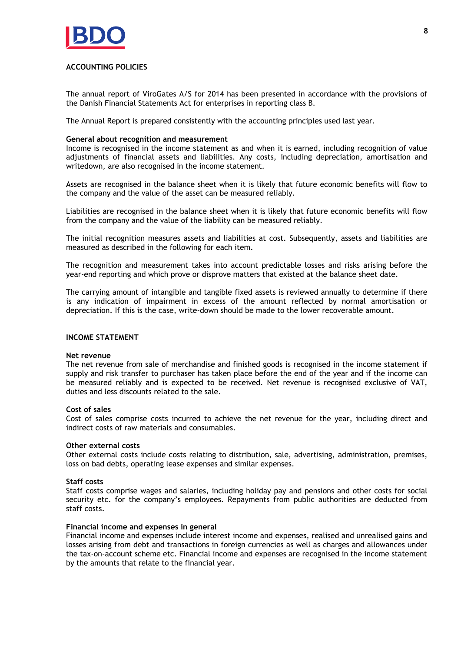

## **ACCOUNTING POLICIES**

The annual report of ViroGates A/S for 2014 has been presented in accordance with the provisions of the Danish Financial Statements Act for enterprises in reporting class B.

The Annual Report is prepared consistently with the accounting principles used last year.

## **General about recognition and measurement**

Income is recognised in the income statement as and when it is earned, including recognition of value adjustments of financial assets and liabilities. Any costs, including depreciation, amortisation and writedown, are also recognised in the income statement.

Assets are recognised in the balance sheet when it is likely that future economic benefits will flow to the company and the value of the asset can be measured reliably.

Liabilities are recognised in the balance sheet when it is likely that future economic benefits will flow from the company and the value of the liability can be measured reliably.

The initial recognition measures assets and liabilities at cost. Subsequently, assets and liabilities are measured as described in the following for each item.

The recognition and measurement takes into account predictable losses and risks arising before the year-end reporting and which prove or disprove matters that existed at the balance sheet date.

The carrying amount of intangible and tangible fixed assets is reviewed annually to determine if there is any indication of impairment in excess of the amount reflected by normal amortisation or depreciation. If this is the case, write-down should be made to the lower recoverable amount.

## **INCOME STATEMENT**

## **Net revenue**

The net revenue from sale of merchandise and finished goods is recognised in the income statement if supply and risk transfer to purchaser has taken place before the end of the year and if the income can be measured reliably and is expected to be received. Net revenue is recognised exclusive of VAT, duties and less discounts related to the sale.

## **Cost of sales**

Cost of sales comprise costs incurred to achieve the net revenue for the year, including direct and indirect costs of raw materials and consumables.

## **Other external costs**

Other external costs include costs relating to distribution, sale, advertising, administration, premises, loss on bad debts, operating lease expenses and similar expenses.

## **Staff costs**

Staff costs comprise wages and salaries, including holiday pay and pensions and other costs for social security etc. for the company's employees. Repayments from public authorities are deducted from staff costs.

## **Financial income and expenses in general**

Financial income and expenses include interest income and expenses, realised and unrealised gains and losses arising from debt and transactions in foreign currencies as well as charges and allowances under the tax-on-account scheme etc. Financial income and expenses are recognised in the income statement by the amounts that relate to the financial year.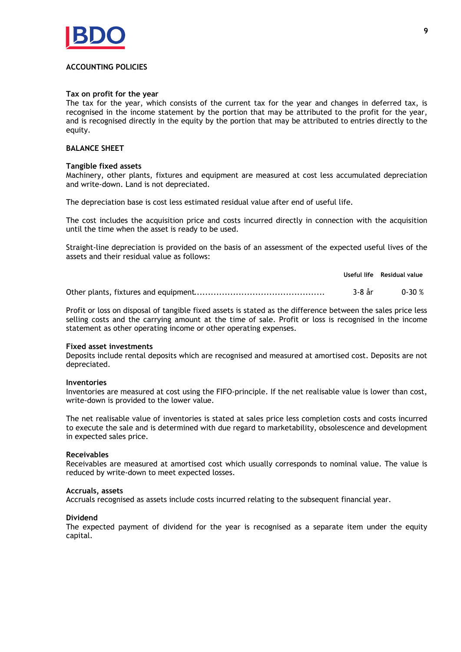

## **ACCOUNTING POLICIES**

## Tax on profit for the year

The tax for the year, which consists of the current tax for the year and changes in deferred tax, is recognised in the income statement by the portion that may be attributed to the profit for the year, and is recognised directly in the equity by the portion that may be attributed to entries directly to the equity.

## **BALANCE SHEET**

## **Tangible fixed assets**

Machinery, other plants, fixtures and equipment are measured at cost less accumulated depreciation and write-down. Land is not depreciated.

The depreciation base is cost less estimated residual value after end of useful life.

The cost includes the acquisition price and costs incurred directly in connection with the acquisition until the time when the asset is ready to be used.

Straight-line depreciation is provided on the basis of an assessment of the expected useful lives of the assets and their residual value as follows:

|  | Useful life Residual value |
|--|----------------------------|
|  | 3-8 år 0-30 %              |

Profit or loss on disposal of tangible fixed assets is stated as the difference between the sales price less selling costs and the carrying amount at the time of sale. Profit or loss is recognised in the income statement as other operating income or other operating expenses.

## **Fixed asset investments**

Deposits include rental deposits which are recognised and measured at amortised cost. Deposits are not depreciated.

## **Inventories**

Inventories are measured at cost using the FIFO-principle. If the net realisable value is lower than cost, write-down is provided to the lower value.

The net realisable value of inventories is stated at sales price less completion costs and costs incurred to execute the sale and is determined with due regard to marketability, obsolescence and development in expected sales price.

## **Receivables**

Receivables are measured at amortised cost which usually corresponds to nominal value. The value is reduced by write-down to meet expected losses.

## Accruals, assets

Accruals recognised as assets include costs incurred relating to the subsequent financial year.

## **Dividend**

The expected payment of dividend for the year is recognised as a separate item under the equity capital.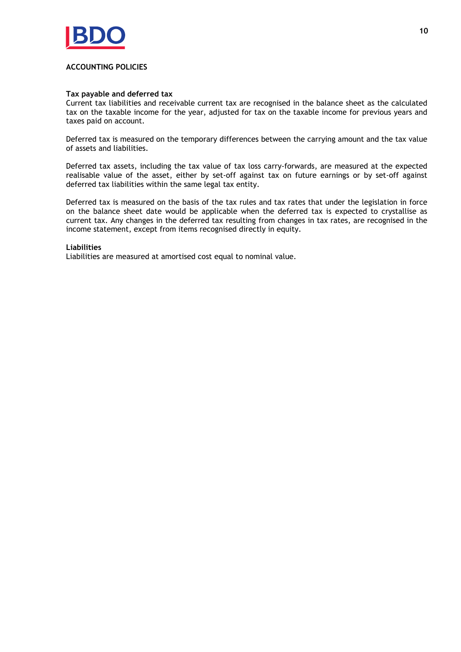

## **ACCOUNTING POLICIES**

## **Tax payable and deferred tax**

Current tax liabilities and receivable current tax are recognised in the balance sheet as the calculated tax on the taxable income for the year, adjusted for tax on the taxable income for previous years and taxes paid on account.

Deferred tax is measured on the temporary differences between the carrying amount and the tax value of assets and liabilities.

Deferred tax assets, including the tax value of tax loss carry-forwards, are measured at the expected realisable value of the asset, either by set-off against tax on future earnings or by set-off against deferred tax liabilities within the same legal tax entity.

Deferred tax is measured on the basis of the tax rules and tax rates that under the legislation in force on the balance sheet date would be applicable when the deferred tax is expected to crystallise as current tax. Any changes in the deferred tax resulting from changes in tax rates, are recognised in the income statement, except from items recognised directly in equity.

## **Liabilities**

Liabilities are measured at amortised cost equal to nominal value.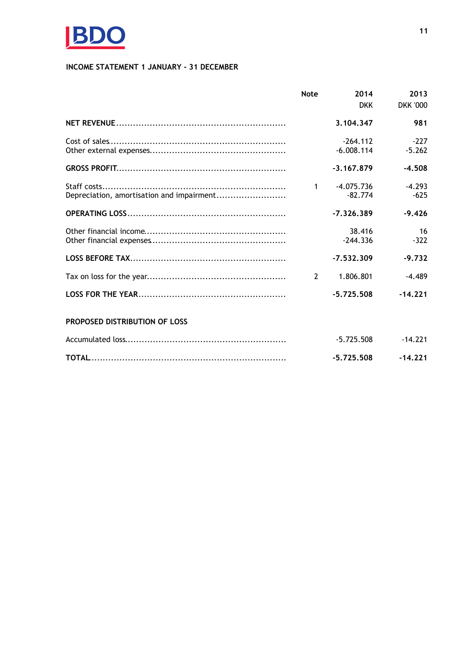

# **INCOME STATEMENT 1 JANUARY - 31 DECEMBER**

|                                           | <b>Note</b>    | 2014         | 2013            |
|-------------------------------------------|----------------|--------------|-----------------|
|                                           |                | <b>DKK</b>   | <b>DKK '000</b> |
|                                           |                | 3.104.347    | 981             |
|                                           |                | $-264.112$   | $-227$          |
|                                           |                | $-6.008.114$ | $-5.262$        |
|                                           |                | $-3.167.879$ | $-4.508$        |
|                                           | $\mathbf{1}$   | $-4.075.736$ | $-4.293$        |
| Depreciation, amortisation and impairment |                | $-82.774$    | $-625$          |
|                                           |                | $-7,326,389$ | $-9,426$        |
|                                           |                | 38.416       | 16              |
|                                           |                | $-244.336$   | $-322$          |
|                                           |                | $-7.532.309$ | $-9.732$        |
|                                           | $\overline{2}$ | 1.806.801    | $-4.489$        |
|                                           |                | $-5.725.508$ | $-14.221$       |
| PROPOSED DISTRIBUTION OF LOSS             |                |              |                 |
|                                           |                | $-5.725.508$ | $-14.221$       |
|                                           |                | $-5.725.508$ | $-14.221$       |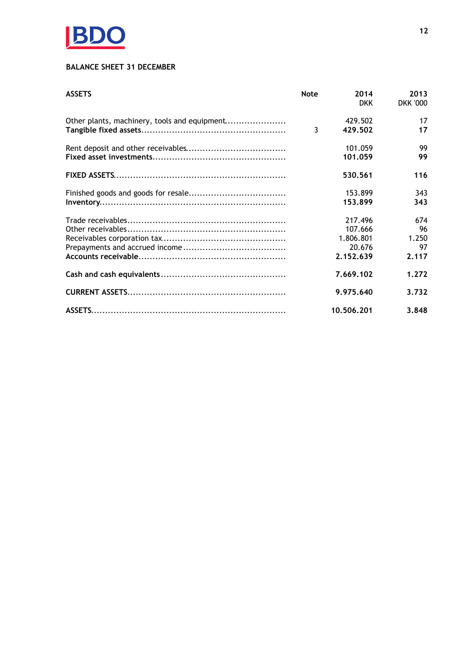

# **BALANCE SHEET 31 DECEMBER**

| <b>ASSETS</b>                                | <b>Note</b> | 2014<br><b>DKK</b> | 2013<br><b>DKK '000</b> |
|----------------------------------------------|-------------|--------------------|-------------------------|
| Other plants, machinery, tools and equipment |             | 429.502            | 17                      |
|                                              | 3           | 429.502            | 17                      |
|                                              |             | 101.059            | 99                      |
|                                              |             | 101.059            | 99                      |
|                                              |             | 530.561            | 116                     |
|                                              |             | 153.899            | 343                     |
|                                              |             | 153.899            | 343                     |
|                                              |             | 217.496            | 674                     |
|                                              |             | 107.666            | 96                      |
|                                              |             | 1.806.801          | 1.250                   |
|                                              |             | 20.676             | 97                      |
|                                              |             | 2.152.639          | 2.117                   |
|                                              |             | 7.669.102          | 1.272                   |
|                                              |             | 9.975.640          | 3.732                   |
|                                              |             | 10,506,201         | 3.848                   |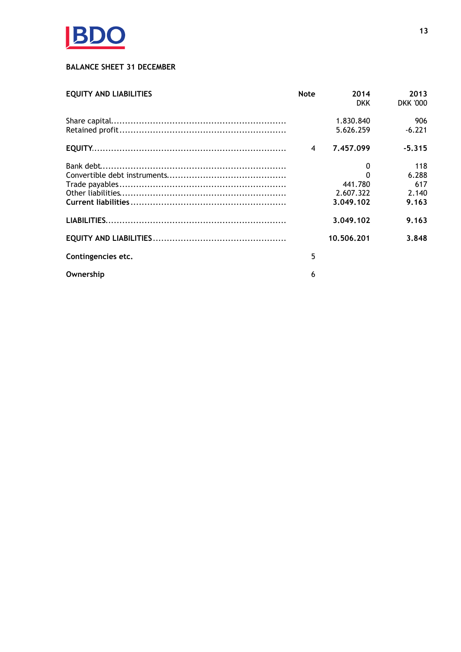

# **BALANCE SHEET 31 DECEMBER**

| <b>EQUITY AND LIABILITIES</b> | <b>Note</b> | 2014<br><b>DKK</b> | 2013<br><b>DKK '000</b> |
|-------------------------------|-------------|--------------------|-------------------------|
|                               |             | 1.830.840          | 906                     |
|                               |             | 5.626.259          | $-6.221$                |
|                               | 4           | 7.457.099          | $-5.315$                |
|                               |             | 0                  | 118                     |
|                               |             | $\Omega$           | 6.288                   |
|                               |             | 441.780            | 617                     |
|                               |             | 2.607.322          | 2.140                   |
|                               |             | 3,049,102          | 9.163                   |
|                               |             | 3.049.102          | 9.163                   |
|                               |             | 10.506.201         | 3.848                   |
| Contingencies etc.            | 5           |                    |                         |
| Ownership                     | 6           |                    |                         |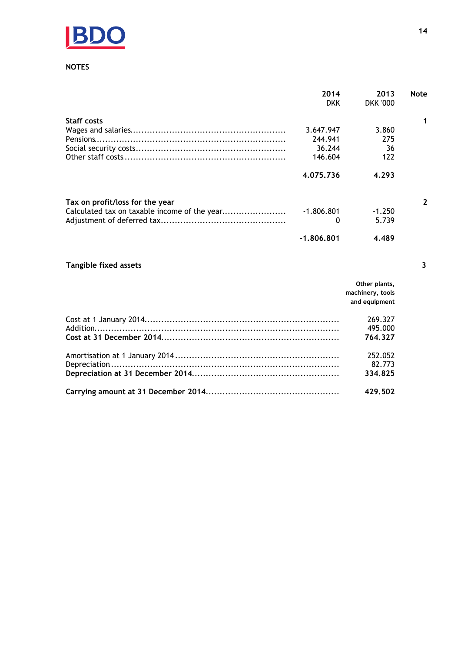

## **NOTES**

|                                 | 2014         | 2013            | Note |
|---------------------------------|--------------|-----------------|------|
|                                 | <b>DKK</b>   | <b>DKK '000</b> |      |
| <b>Staff costs</b>              |              |                 |      |
|                                 | 3.647.947    | 3.860           |      |
|                                 | 244.941      | 275             |      |
|                                 | 36.244       | 36              |      |
|                                 | 146.604      | 122             |      |
|                                 | 4.075.736    | 4.293           |      |
| Tax on profit/loss for the year |              |                 |      |
|                                 | $-1.806.801$ | $-1.250$        |      |
|                                 | 0            | 5.739           |      |
|                                 | $-1.806.801$ | 4.489           |      |

# Tangible fixed assets

| Other plants,<br>machinery, tools<br>and equipment |
|----------------------------------------------------|
| 269.327<br>495,000                                 |
| 764.327                                            |
| 252.052<br>82.773<br>334.825                       |
| 429.502                                            |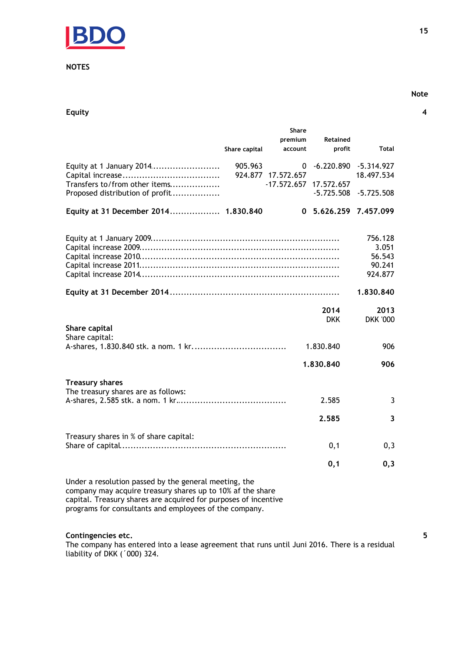

## **NOTES**

Equity

|                                                                                                                     |               | <b>Share</b><br>premium | <b>Retained</b>       |                            |
|---------------------------------------------------------------------------------------------------------------------|---------------|-------------------------|-----------------------|----------------------------|
|                                                                                                                     | Share capital | account                 | profit                | Total                      |
| Equity at 1 January 2014                                                                                            | 905.963       | 0<br>924.877 17.572.657 | $-6.220.890$          | $-5.314.927$<br>18.497.534 |
| Transfers to/from other items                                                                                       |               | $-17.572.657$           | 17.572.657            |                            |
| Proposed distribution of profit                                                                                     |               |                         | $-5.725.508$          | $-5.725.508$               |
| Equity at 31 December 2014 1.830.840                                                                                |               |                         | 0 5.626.259 7.457.099 |                            |
|                                                                                                                     |               |                         |                       | 756.128                    |
|                                                                                                                     |               |                         |                       | 3.051                      |
|                                                                                                                     |               |                         |                       | 56.543<br>90.241           |
|                                                                                                                     |               |                         |                       | 924.877                    |
|                                                                                                                     |               |                         |                       |                            |
|                                                                                                                     |               |                         |                       | 1.830.840                  |
|                                                                                                                     |               |                         | 2014                  | 2013                       |
|                                                                                                                     |               |                         | <b>DKK</b>            | <b>DKK '000</b>            |
| Share capital<br>Share capital:                                                                                     |               |                         |                       |                            |
|                                                                                                                     |               |                         | 1.830.840             | 906                        |
|                                                                                                                     |               |                         | 1.830.840             | 906                        |
| <b>Treasury shares</b>                                                                                              |               |                         |                       |                            |
| The treasury shares are as follows:                                                                                 |               |                         | 2.585                 | 3                          |
|                                                                                                                     |               |                         | 2.585                 | 3                          |
| Treasury shares in % of share capital:                                                                              |               |                         |                       |                            |
|                                                                                                                     |               |                         | 0,1                   | 0,3                        |
|                                                                                                                     |               |                         |                       |                            |
|                                                                                                                     |               |                         | 0,1                   | 0,3                        |
| Under a resolution passed by the general meeting, the<br>company may acquire treasury shares up to 10% af the share |               |                         |                       |                            |

capital. Treasury shares are acquired for purposes of incentive<br>programs for consultants and employees of the company.

# Contingencies etc.

The company has entered into a lease agreement that runs until Juni 2016. There is a residual liability of DKK ('000) 324.

15

## **Note**

 $\overline{\mathbf{4}}$ 

 $\overline{\mathbf{5}}$